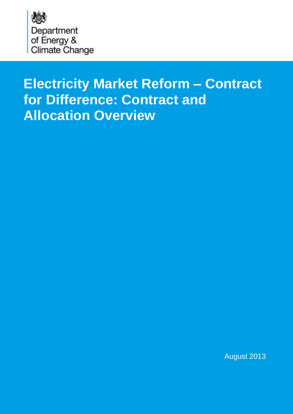<span id="page-0-0"></span>

# **Electricity Market Reform – Contract for Difference: Contract and Allocation Overview**

August 2013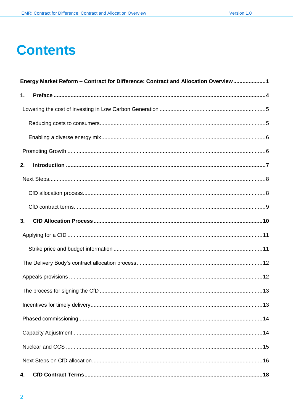# **Contents**

| Energy Market Reform - Contract for Difference: Contract and Allocation Overview 1 |  |
|------------------------------------------------------------------------------------|--|
| 1.                                                                                 |  |
|                                                                                    |  |
|                                                                                    |  |
|                                                                                    |  |
|                                                                                    |  |
| 2.                                                                                 |  |
|                                                                                    |  |
|                                                                                    |  |
|                                                                                    |  |
| 3.                                                                                 |  |
|                                                                                    |  |
|                                                                                    |  |
|                                                                                    |  |
|                                                                                    |  |
|                                                                                    |  |
|                                                                                    |  |
|                                                                                    |  |
|                                                                                    |  |
|                                                                                    |  |
|                                                                                    |  |
| 4.                                                                                 |  |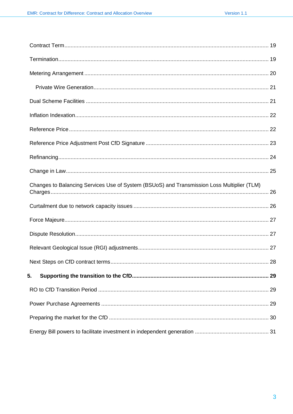| Changes to Balancing Services Use of System (BSUoS) and Transmission Loss Multiplier (TLM) |    |
|--------------------------------------------------------------------------------------------|----|
|                                                                                            |    |
|                                                                                            |    |
|                                                                                            |    |
|                                                                                            |    |
|                                                                                            | 28 |
| 5.                                                                                         |    |
|                                                                                            |    |
|                                                                                            |    |
|                                                                                            |    |
|                                                                                            |    |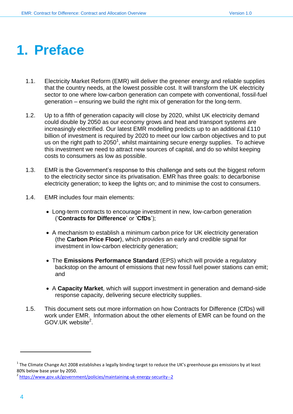# <span id="page-3-0"></span>**1. Preface**

- 1.1. Electricity Market Reform (EMR) will deliver the greener energy and reliable supplies that the country needs, at the lowest possible cost. It will transform the UK electricity sector to one where low-carbon generation can compete with conventional, fossil-fuel generation – ensuring we build the right mix of generation for the long-term.
- 1.2. Up to a fifth of generation capacity will close by 2020, whilst UK electricity demand could double by 2050 as our economy grows and heat and transport systems are increasingly electrified. Our latest EMR modelling predicts up to an additional £110 billion of investment is required by 2020 to meet our low carbon objectives and to put us on the right path to  $2050<sup>1</sup>$ , whilst maintaining secure energy supplies. To achieve this investment we need to attract new sources of capital, and do so whilst keeping costs to consumers as low as possible.
- 1.3. EMR is the Government's response to this challenge and sets out the biggest reform to the electricity sector since its privatisation. EMR has three goals: to decarbonise electricity generation; to keep the lights on; and to minimise the cost to consumers.
- 1.4. EMR includes four main elements:
	- Long-term contracts to encourage investment in new, low-carbon generation ('**Contracts for Difference**' or '**CfDs**');
	- A mechanism to establish a minimum carbon price for UK electricity generation (the **Carbon Price Floor**), which provides an early and credible signal for investment in low-carbon electricity generation;
	- The **Emissions Performance Standard** (EPS) which will provide a regulatory backstop on the amount of emissions that new fossil fuel power stations can emit; and
	- A **Capacity Market**, which will support investment in generation and demand-side response capacity, delivering secure electricity supplies.
- 1.5. This document sets out more information on how Contracts for Difference (CfDs) will work under EMR. Information about the other elements of EMR can be found on the GOV.UK website<sup>2</sup>.

 $^1$  The Climate Change Act 2008 establishes a legally binding target to reduce the UK's greenhouse gas emissions by at least 80% below base year by 2050.

<sup>&</sup>lt;sup>2</sup> <https://www.gov.uk/government/policies/maintaining-uk-energy-security--2>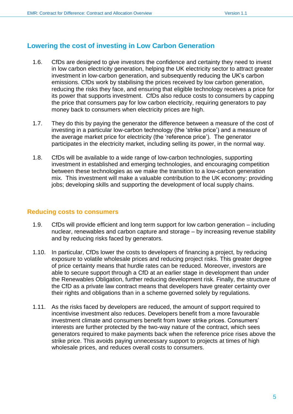# <span id="page-4-0"></span>**Lowering the cost of investing in Low Carbon Generation**

- 1.6. CfDs are designed to give investors the confidence and certainty they need to invest in low carbon electricity generation, helping the UK electricity sector to attract greater investment in low-carbon generation, and subsequently reducing the UK's carbon emissions. CfDs work by stabilising the prices received by low carbon generation, reducing the risks they face, and ensuring that eligible technology receives a price for its power that supports investment. CfDs also reduce costs to consumers by capping the price that consumers pay for low carbon electricity, requiring generators to pay money back to consumers when electricity prices are high.
- 1.7. They do this by paying the generator the difference between a measure of the cost of investing in a particular low-carbon technology (the 'strike price') and a measure of the average market price for electricity (the 'reference price'). The generator participates in the electricity market, including selling its power, in the normal way.
- 1.8. CfDs will be available to a wide range of low-carbon technologies, supporting investment in established and emerging technologies, and encouraging competition between these technologies as we make the transition to a low-carbon generation mix. This investment will make a valuable contribution to the UK economy: providing jobs; developing skills and supporting the development of local supply chains.

#### <span id="page-4-1"></span>**Reducing costs to consumers**

- 1.9. CfDs will provide efficient and long term support for low carbon generation including nuclear, renewables and carbon capture and storage – by increasing revenue stability and by reducing risks faced by generators.
- 1.10. In particular, CfDs lower the costs to developers of financing a project, by reducing exposure to volatile wholesale prices and reducing project risks. This greater degree of price certainty means that hurdle rates can be reduced. Moreover, investors are able to secure support through a CfD at an earlier stage in development than under the Renewables Obligation, further reducing development risk. Finally, the structure of the CfD as a private law contract means that developers have greater certainty over their rights and obligations than in a scheme governed solely by regulations.
- 1.11. As the risks faced by developers are reduced, the amount of support required to incentivise investment also reduces. Developers benefit from a more favourable investment climate and consumers benefit from lower strike prices. Consumers' interests are further protected by the two-way nature of the contract, which sees generators required to make payments back when the reference price rises above the strike price. This avoids paying unnecessary support to projects at times of high wholesale prices, and reduces overall costs to consumers.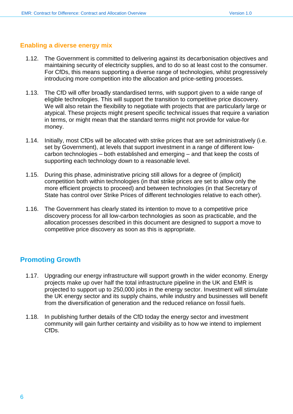#### <span id="page-5-0"></span>**Enabling a diverse energy mix**

- 1.12. The Government is committed to delivering against its decarbonisation objectives and maintaining security of electricity supplies, and to do so at least cost to the consumer. For CfDs, this means supporting a diverse range of technologies, whilst progressively introducing more competition into the allocation and price-setting processes.
- 1.13. The CfD will offer broadly standardised terms, with support given to a wide range of eligible technologies. This will support the transition to competitive price discovery. We will also retain the flexibility to negotiate with projects that are particularly large or atypical. These projects might present specific technical issues that require a variation in terms, or might mean that the standard terms might not provide for value-for money.
- 1.14. Initially, most CfDs will be allocated with strike prices that are set administratively (i.e. set by Government), at levels that support investment in a range of different lowcarbon technologies – both established and emerging – and that keep the costs of supporting each technology down to a reasonable level.
- 1.15. During this phase, administrative pricing still allows for a degree of (implicit) competition both within technologies (in that strike prices are set to allow only the more efficient projects to proceed) and between technologies (in that Secretary of State has control over Strike Prices of different technologies relative to each other).
- 1.16. The Government has clearly stated its intention to move to a competitive price discovery process for all low-carbon technologies as soon as practicable, and the allocation processes described in this document are designed to support a move to competitive price discovery as soon as this is appropriate.

## <span id="page-5-1"></span>**Promoting Growth**

- 1.17. Upgrading our energy infrastructure will support growth in the wider economy. Energy projects make up over half the total infrastructure pipeline in the UK and EMR is projected to support up to 250,000 jobs in the energy sector. Investment will stimulate the UK energy sector and its supply chains, while industry and businesses will benefit from the diversification of generation and the reduced reliance on fossil fuels.
- 1.18. In publishing further details of the CfD today the energy sector and investment community will gain further certainty and visibility as to how we intend to implement CfDs.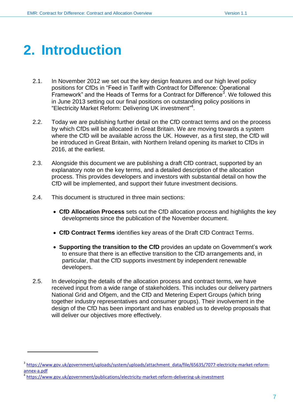# <span id="page-6-0"></span>**2. Introduction**

- 2.1. In November 2012 we set out the key design features and our high level policy positions for CfDs in "Feed in Tariff with Contract for Difference: Operational  $\overline{\mathsf{F}}$ ramework" and the Heads of Terms for a Contract for Difference<sup>3</sup>. We followed this in June 2013 setting out our final positions on outstanding policy positions in "Electricity Market Reform: Delivering UK investment" 4 .
- 2.2. Today we are publishing further detail on the CfD contract terms and on the process by which CfDs will be allocated in Great Britain. We are moving towards a system where the CfD will be available across the UK. However, as a first step, the CfD will be introduced in Great Britain, with Northern Ireland opening its market to CfDs in 2016, at the earliest.
- 2.3. Alongside this document we are publishing a draft CfD contract, supported by an explanatory note on the key terms, and a detailed description of the allocation process. This provides developers and investors with substantial detail on how the CfD will be implemented, and support their future investment decisions.
- 2.4. This document is structured in three main sections:
	- **CfD Allocation Process** sets out the CfD allocation process and highlights the key developments since the publication of the November document.
	- **CfD Contract Terms** identifies key areas of the Draft CfD Contract Terms.
	- **Supporting the transition to the CfD** provides an update on Government's work to ensure that there is an effective transition to the CfD arrangements and, in particular, that the CfD supports investment by independent renewable developers.
- 2.5. In developing the details of the allocation process and contract terms, we have received input from a wide range of stakeholders. This includes our delivery partners National Grid and Ofgem, and the CfD and Metering Expert Groups (which bring together industry representatives and consumer groups). Their involvement in the design of the CfD has been important and has enabled us to develop proposals that will deliver our objectives more effectively.

<sup>3</sup> [https://www.gov.uk/government/uploads/system/uploads/attachment\\_data/file/65635/7077-electricity-market-reform](https://www.gov.uk/government/uploads/system/uploads/attachment_data/file/65635/7077-electricity-market-reform-annex-a.pdf)[annex-a.pdf](https://www.gov.uk/government/uploads/system/uploads/attachment_data/file/65635/7077-electricity-market-reform-annex-a.pdf)

<sup>4</sup> <https://www.gov.uk/government/publications/electricity-market-reform-delivering-uk-investment>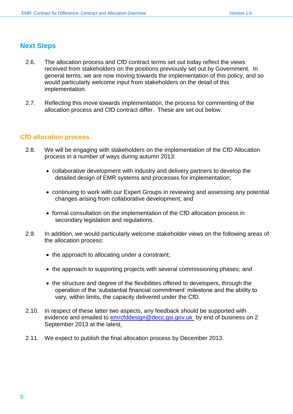## <span id="page-7-0"></span>**Next Steps**

- 2.6. The allocation process and CfD contract terms set out today reflect the views received from stakeholders on the positions previously set out by Government. In general terms, we are now moving towards the implementation of this policy, and so would particularly welcome input from stakeholders on the detail of this implementation.
- 2.7. Reflecting this move towards implementation, the process for commenting of the allocation process and CfD contract differ. These are set out below.

#### <span id="page-7-1"></span>**CfD allocation process**

- 2.8. We will be engaging with stakeholders on the implementation of the CfD Allocation process in a number of ways during autumn 2013:
	- collaborative development with industry and delivery partners to develop the detailed design of EMR systems and processes for implementation;
	- continuing to work with our Expert Groups in reviewing and assessing any potential changes arising from collaborative development; and
	- formal consultation on the implementation of the CfD allocation process in secondary legislation and regulations.
- 2.9. In addition, we would particularly welcome stakeholder views on the following areas of the allocation process:
	- the approach to allocating under a constraint;
	- the approach to supporting projects with several commissioning phases; and
	- the structure and degree of the flexibilities offered to developers, through the operation of the 'substantial financial commitment' milestone and the ability to vary, within limits, the capacity delivered under the CfD.
- 2.10. In respect of these latter two aspects, any feedback should be supported with evidence and emailed to [emrcfddesign@decc.gsi.gov.uk](mailto:emrcfddesign@decc.gsi.gov.uk) by end of business on 2 September 2013 at the latest.
- 2.11. We expect to publish the final allocation process by December 2013.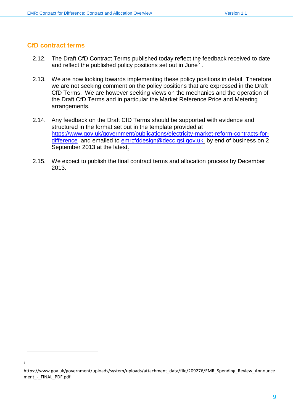#### <span id="page-8-0"></span>**CfD contract terms**

l

5

- 2.12. The Draft CfD Contract Terms published today reflect the feedback received to date and reflect the published policy positions set out in June<sup>5</sup>.
- 2.13. We are now looking towards implementing these policy positions in detail. Therefore we are not seeking comment on the policy positions that are expressed in the Draft CfD Terms. We are however seeking views on the mechanics and the operation of the Draft CfD Terms and in particular the Market Reference Price and Metering arrangements.
- 2.14. Any feedback on the Draft CfD Terms should be supported with evidence and structured in the format set out in the template provided at [https://www.gov.uk/government/publications/electricity-market-reform-contracts-for](https://www.gov.uk/government/publications/electricity-market-reform-contracts-for-difference)[difference](https://www.gov.uk/government/publications/electricity-market-reform-contracts-for-difference) and emailed to [emrcfddesign@decc.gsi.gov.uk](mailto:emrcfddesign@decc.gsi.gov.uk) by end of business on 2 September 2013 at the latest.
- 2.15. We expect to publish the final contract terms and allocation process by December 2013.

https://www.gov.uk/government/uploads/system/uploads/attachment\_data/file/209276/EMR\_Spending\_Review\_Announce ment - FINAL PDF.pdf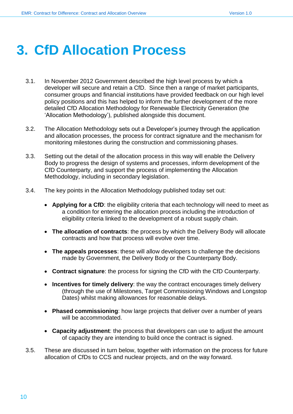# <span id="page-9-0"></span>**3. CfD Allocation Process**

- 3.1. In November 2012 Government described the high level process by which a developer will secure and retain a CfD. Since then a range of market participants, consumer groups and financial institutions have provided feedback on our high level policy positions and this has helped to inform the further development of the more detailed CfD Allocation Methodology for Renewable Electricity Generation (the 'Allocation Methodology'), published alongside this document.
- 3.2. The Allocation Methodology sets out a Developer's journey through the application and allocation processes, the process for contract signature and the mechanism for monitoring milestones during the construction and commissioning phases.
- 3.3. Setting out the detail of the allocation process in this way will enable the Delivery Body to progress the design of systems and processes, inform development of the CfD Counterparty, and support the process of implementing the Allocation Methodology, including in secondary legislation.
- 3.4. The key points in the Allocation Methodology published today set out:
	- **Applying for a CfD**: the eligibility criteria that each technology will need to meet as a condition for entering the allocation process including the introduction of eligibility criteria linked to the development of a robust supply chain.
	- **The allocation of contracts**: the process by which the Delivery Body will allocate contracts and how that process will evolve over time.
	- **The appeals processes**: these will allow developers to challenge the decisions made by Government, the Delivery Body or the Counterparty Body.
	- **Contract signature**: the process for signing the CfD with the CfD Counterparty.
	- **Incentives for timely delivery**: the way the contract encourages timely delivery (through the use of Milestones, Target Commissioning Windows and Longstop Dates) whilst making allowances for reasonable delays.
	- **Phased commissioning**: how large projects that deliver over a number of years will be accommodated.
	- **Capacity adjustment**: the process that developers can use to adjust the amount of capacity they are intending to build once the contract is signed.
- 3.5. These are discussed in turn below, together with information on the process for future allocation of CfDs to CCS and nuclear projects, and on the way forward.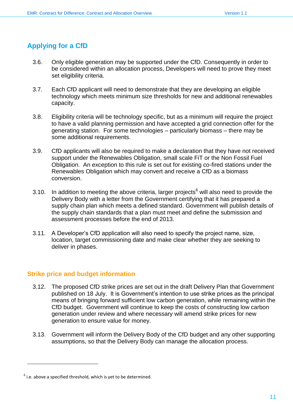# <span id="page-10-0"></span>**Applying for a CfD**

- 3.6. Only eligible generation may be supported under the CfD. Consequently in order to be considered within an allocation process, Developers will need to prove they meet set eligibility criteria.
- 3.7. Each CfD applicant will need to demonstrate that they are developing an eligible technology which meets minimum size thresholds for new and additional renewables capacity.
- 3.8. Eligibility criteria will be technology specific, but as a minimum will require the project to have a valid planning permission and have accepted a grid connection offer for the generating station. For some technologies – particularly biomass – there may be some additional requirements.
- 3.9. CfD applicants will also be required to make a declaration that they have not received support under the Renewables Obligation, small scale FiT or the Non Fossil Fuel Obligation. An exception to this rule is set out for existing co-fired stations under the Renewables Obligation which may convert and receive a CfD as a biomass conversion.
- 3.10. In addition to meeting the above criteria, larger projects<sup>6</sup> will also need to provide the Delivery Body with a letter from the Government certifying that it has prepared a supply chain plan which meets a defined standard. Government will publish details of the supply chain standards that a plan must meet and define the submission and assessment processes before the end of 2013.
- 3.11. A Developer's CfD application will also need to specify the project name, size, location, target commissioning date and make clear whether they are seeking to deliver in phases.

## <span id="page-10-1"></span>**Strike price and budget information**

- 3.12. The proposed CfD strike prices are set out in the draft Delivery Plan that Government published on 18 July. It is Government's intention to use strike prices as the principal means of bringing forward sufficient low carbon generation, while remaining within the CfD budget. Government will continue to keep the costs of constructing low carbon generation under review and where necessary will amend strike prices for new generation to ensure value for money.
- 3.13. Government will inform the Delivery Body of the CfD budget and any other supporting assumptions, so that the Delivery Body can manage the allocation process.

 $<sup>6</sup>$  i.e. above a specified threshold, which is yet to be determined.</sup>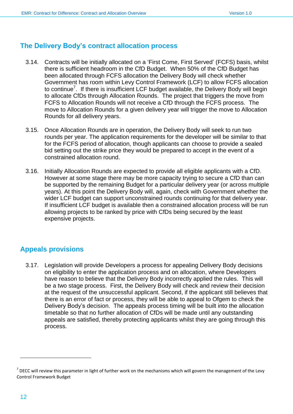# <span id="page-11-0"></span>**The Delivery Body's contract allocation process**

- 3.14. Contracts will be initially allocated on a 'First Come, First Served' (FCFS) basis, whilst there is sufficient headroom in the CfD Budget. When 50% of the CfD Budget has been allocated through FCFS allocation the Delivery Body will check whether Government has room within Levy Control Framework (LCF) to allow FCFS allocation to continue<sup>7</sup>. If there is insufficient LCF budget available, the Delivery Body will begin to allocate CfDs through Allocation Rounds. The project that triggers the move from FCFS to Allocation Rounds will not receive a CfD through the FCFS process. The move to Allocation Rounds for a given delivery year will trigger the move to Allocation Rounds for all delivery years.
- 3.15. Once Allocation Rounds are in operation, the Delivery Body will seek to run two rounds per year. The application requirements for the developer will be similar to that for the FCFS period of allocation, though applicants can choose to provide a sealed bid setting out the strike price they would be prepared to accept in the event of a constrained allocation round.
- 3.16. Initially Allocation Rounds are expected to provide all eligible applicants with a CfD. However at some stage there may be more capacity trying to secure a CfD than can be supported by the remaining Budget for a particular delivery year (or across multiple years). At this point the Delivery Body will, again, check with Government whether the wider LCF budget can support unconstrained rounds continuing for that delivery year. If insufficient LCF budget is available then a constrained allocation process will be run allowing projects to be ranked by price with CfDs being secured by the least expensive projects.

# <span id="page-11-1"></span>**Appeals provisions**

3.17. Legislation will provide Developers a process for appealing Delivery Body decisions on eligibility to enter the application process and on allocation, where Developers have reason to believe that the Delivery Body incorrectly applied the rules. This will be a two stage process. First, the Delivery Body will check and review their decision at the request of the unsuccessful applicant. Second, if the applicant still believes that there is an error of fact or process, they will be able to appeal to Ofgem to check the Delivery Body's decision. The appeals process timing will be built into the allocation timetable so that no further allocation of CfDs will be made until any outstanding appeals are satisfied, thereby protecting applicants whilst they are going through this process.

 $^7$  DECC will review this parameter in light of further work on the mechanisms which will govern the management of the Levy Control Framework Budget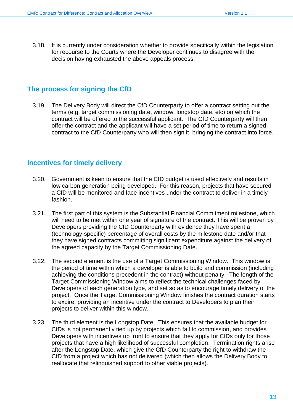3.18. It is currently under consideration whether to provide specifically within the legislation for recourse to the Courts where the Developer continues to disagree with the decision having exhausted the above appeals process.

# <span id="page-12-0"></span>**The process for signing the CfD**

3.19. The Delivery Body will direct the CfD Counterparty to offer a contract setting out the terms (e.g. target commissioning date, window, longstop date, etc) on which the contract will be offered to the successful applicant. The CfD Counterparty will then offer the contract and the applicant will have a set period of time to return a signed contract to the CfD Counterparty who will then sign it, bringing the contract into force.

## <span id="page-12-1"></span>**Incentives for timely delivery**

- 3.20. Government is keen to ensure that the CfD budget is used effectively and results in low carbon generation being developed. For this reason, projects that have secured a CfD will be monitored and face incentives under the contract to deliver in a timely fashion.
- 3.21. The first part of this system is the Substantial Financial Commitment milestone, which will need to be met within one year of signature of the contract. This will be proven by Developers providing the CfD Counterparty with evidence they have spent a (technology-specific) percentage of overall costs by the milestone date and/or that they have signed contracts committing significant expenditure against the delivery of the agreed capacity by the Target Commissioning Date.
- 3.22. The second element is the use of a Target Commissioning Window. This window is the period of time within which a developer is able to build and commission (including achieving the conditions precedent in the contract) without penalty. The length of the Target Commissioning Window aims to reflect the technical challenges faced by Developers of each generation type, and set so as to encourage timely delivery of the project. Once the Target Commissioning Window finishes the contract duration starts to expire, providing an incentive under the contract to Developers to plan their projects to deliver within this window.
- 3.23. The third element is the Longstop Date. This ensures that the available budget for CfDs is not permanently tied up by projects which fail to commission, and provides Developers with incentives up front to ensure that they apply for CfDs only for those projects that have a high likelihood of successful completion. Termination rights arise after the Longstop Date, which give the CfD Counterparty the right to withdraw the CfD from a project which has not delivered (which then allows the Delivery Body to reallocate that relinquished support to other viable projects).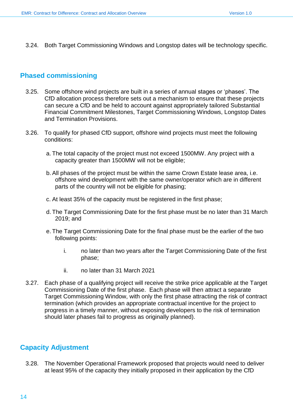3.24. Both Target Commissioning Windows and Longstop dates will be technology specific.

# <span id="page-13-0"></span>**Phased commissioning**

- 3.25. Some offshore wind projects are built in a series of annual stages or 'phases'. The CfD allocation process therefore sets out a mechanism to ensure that these projects can secure a CfD and be held to account against appropriately tailored Substantial Financial Commitment Milestones, Target Commissioning Windows, Longstop Dates and Termination Provisions.
- 3.26. To qualify for phased CfD support, offshore wind projects must meet the following conditions:
	- a. The total capacity of the project must not exceed 1500MW. Any project with a capacity greater than 1500MW will not be eligible;
	- b.All phases of the project must be within the same Crown Estate lease area, i.e. offshore wind development with the same owner/operator which are in different parts of the country will not be eligible for phasing;
	- c. At least 35% of the capacity must be registered in the first phase;
	- d. The Target Commissioning Date for the first phase must be no later than 31 March 2019; and
	- e. The Target Commissioning Date for the final phase must be the earlier of the two following points:
		- i. no later than two years after the Target Commissioning Date of the first phase;
		- ii. no later than 31 March 2021
- 3.27. Each phase of a qualifying project will receive the strike price applicable at the Target Commissioning Date of the first phase. Each phase will then attract a separate Target Commissioning Window, with only the first phase attracting the risk of contract termination (which provides an appropriate contractual incentive for the project to progress in a timely manner, without exposing developers to the risk of termination should later phases fail to progress as originally planned).

# <span id="page-13-1"></span>**Capacity Adjustment**

3.28. The November Operational Framework proposed that projects would need to deliver at least 95% of the capacity they initially proposed in their application by the CfD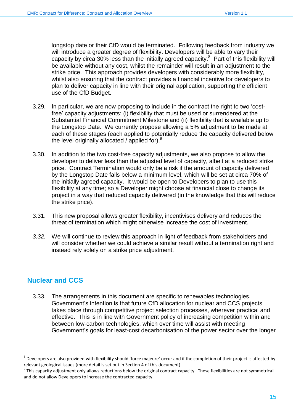longstop date or their CfD would be terminated. Following feedback from industry we will introduce a greater degree of flexibility. Developers will be able to vary their capacity by circa 30% less than the initially agreed capacity.<sup>8</sup> Part of this flexibility will be available without any cost, whilst the remainder will result in an adjustment to the strike price. This approach provides developers with considerably more flexibility, whilst also ensuring that the contract provides a financial incentive for developers to plan to deliver capacity in line with their original application, supporting the efficient use of the CfD Budget.

- 3.29. In particular, we are now proposing to include in the contract the right to two 'costfree' capacity adjustments: (i) flexibility that must be used or surrendered at the Substantial Financial Commitment Milestone and (ii) flexibility that is available up to the Longstop Date. We currently propose allowing a 5% adjustment to be made at each of these stages (each applied to potentially reduce the capacity delivered below the level originally allocated / applied for).<sup>9</sup>
- 3.30. In addition to the two cost-free capacity adjustments, we also propose to allow the developer to deliver less than the adjusted level of capacity, albeit at a reduced strike price. Contract Termination would only be a risk if the amount of capacity delivered by the Longstop Date falls below a minimum level, which will be set at circa 70% of the initially agreed capacity. It would be open to Developers to plan to use this flexibility at any time; so a Developer might choose at financial close to change its project in a way that reduced capacity delivered (in the knowledge that this will reduce the strike price).
- 3.31. This new proposal allows greater flexibility, incentivises delivery and reduces the threat of termination which might otherwise increase the cost of investment.
- *3.32.* We will continue to review this approach in light of feedback from stakeholders and will consider whether we could achieve a similar result without a termination right and instead rely solely on a strike price adjustment.

# <span id="page-14-0"></span>**Nuclear and CCS**

l

3.33. The arrangements in this document are specific to renewables technologies. Government's intention is that future CfD allocation for nuclear and CCS projects takes place through competitive project selection processes, wherever practical and effective. This is in line with Government policy of increasing competition within and between low-carbon technologies, which over time will assist with meeting Government's goals for least-cost decarbonisation of the power sector over the longer

 $^8$  Developers are also provided with flexibility should 'force majeure' occur and if the completion of their project is affected by relevant geological issues (more detail is set out in Section 4 of this document).

 $^9$  This capacity adjustment only allows reductions below the original contract capacity. These flexibilities are not symmetrical and do not allow Developers to increase the contracted capacity.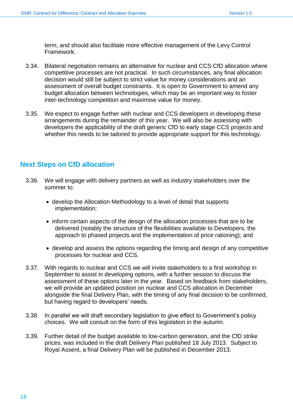term, and should also facilitate more effective management of the Levy Control Framework.

- 3.34. Bilateral negotiation remains an alternative for nuclear and CCS CfD allocation where competitive processes are not practical. In such circumstances, any final allocation decision would still be subject to strict value for money considerations and an assessment of overall budget constraints. It is open to Government to amend any budget allocation between technologies, which may be an important way to foster inter-technology competition and maximise value for money.
- 3.35. We expect to engage further with nuclear and CCS developers in developing these arrangements during the remainder of this year. We will also be assessing with developers the applicability of the draft generic CfD to early stage CCS projects and whether this needs to be tailored to provide appropriate support for this technology.

# <span id="page-15-0"></span>**Next Steps on CfD allocation**

- 3.36. We will engage with delivery partners as well as industry stakeholders over the summer to:
	- develop the Allocation Methodology to a level of detail that supports implementation;
	- inform certain aspects of the design of the allocation processes that are to be delivered (notably the structure of the flexibilities available to Developers, the approach to phased projects and the implementation of price rationing); and
	- develop and assess the options regarding the timing and design of any competitive processes for nuclear and CCS.
- 3.37. With regards to nuclear and CCS we will invite stakeholders to a first workshop in September to assist in developing options, with a further session to discuss the assessment of these options later in the year. Based on feedback from stakeholders, we will provide an updated position on nuclear and CCS allocation in December alongside the final Delivery Plan, with the timing of any final decision to be confirmed, but having regard to developers' needs.
- 3.38. In parallel we will draft secondary legislation to give effect to Government's policy choices. We will consult on the form of this legislation in the autumn.
- 3.39. Further detail of the budget available to low-carbon generation, and the CfD strike prices, was included in the draft Delivery Plan published 18 July 2013. Subject to Royal Assent, a final Delivery Plan will be published in December 2013.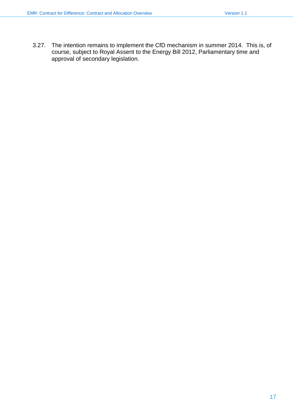3.27. The intention remains to implement the CfD mechanism in summer 2014. This is, of course, subject to Royal Assent to the Energy Bill 2012, Parliamentary time and approval of secondary legislation.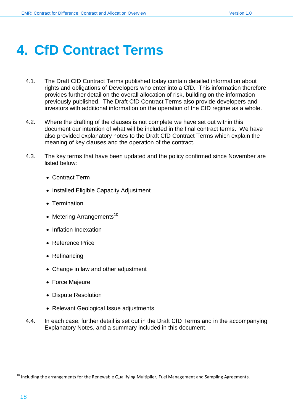# <span id="page-17-0"></span>**4. CfD Contract Terms**

- 4.1. The Draft CfD Contract Terms published today contain detailed information about rights and obligations of Developers who enter into a CfD. This information therefore provides further detail on the overall allocation of risk, building on the information previously published. The Draft CfD Contract Terms also provide developers and investors with additional information on the operation of the CfD regime as a whole.
- 4.2. Where the drafting of the clauses is not complete we have set out within this document our intention of what will be included in the final contract terms. We have also provided explanatory notes to the Draft CfD Contract Terms which explain the meaning of key clauses and the operation of the contract.
- 4.3. The key terms that have been updated and the policy confirmed since November are listed below:
	- Contract Term
	- Installed Eligible Capacity Adjustment
	- Termination
	- Metering Arrangements<sup>10</sup>
	- Inflation Indexation
	- Reference Price
	- Refinancing
	- Change in law and other adjustment
	- Force Majeure
	- Dispute Resolution
	- Relevant Geological Issue adjustments
- 4.4. In each case, further detail is set out in the Draft CfD Terms and in the accompanying Explanatory Notes, and a summary included in this document.

<sup>&</sup>lt;sup>10</sup> Including the arrangements for the Renewable Qualifying Multiplier, Fuel Management and Sampling Agreements.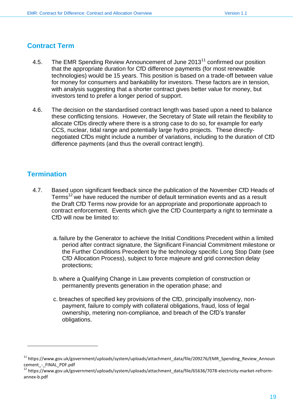#### <span id="page-18-0"></span>**Contract Term**

- 4.5. The EMR Spending Review Announcement of June 2013<sup>11</sup> confirmed our position that the appropriate duration for CfD difference payments (for most renewable technologies) would be 15 years. This position is based on a trade-off between value for money for consumers and bankability for investors. These factors are in tension, with analysis suggesting that a shorter contract gives better value for money, but investors tend to prefer a longer period of support.
- 4.6. The decision on the standardised contract length was based upon a need to balance these conflicting tensions. However, the Secretary of State will retain the flexibility to allocate CfDs directly where there is a strong case to do so, for example for early CCS, nuclear, tidal range and potentially large hydro projects. These directlynegotiated CfDs might include a number of variations, including to the duration of CfD difference payments (and thus the overall contract length).

#### <span id="page-18-1"></span>**Termination**

- 4.7. Based upon significant feedback since the publication of the November CfD Heads of Terms<sup>12</sup> we have reduced the number of default termination events and as a result the Draft CfD Terms now provide for an appropriate and proportionate approach to contract enforcement. Events which give the CfD Counterparty a right to terminate a CfD will now be limited to:
	- a. failure by the Generator to achieve the Initial Conditions Precedent within a limited period after contract signature, the Significant Financial Commitment milestone or the Further Conditions Precedent by the technology specific Long Stop Date (see CfD Allocation Process), subject to force majeure and grid connection delay protections;
	- b. where a Qualifying Change in Law prevents completion of construction or permanently prevents generation in the operation phase; and
	- c. breaches of specified key provisions of the CfD, principally insolvency, nonpayment, failure to comply with collateral obligations, fraud, loss of legal ownership, metering non-compliance, and breach of the CfD's transfer obligations.

<sup>11</sup> https://www.gov.uk/government/uploads/system/uploads/attachment\_data/file/209276/EMR\_Spending\_Review\_Announ cement - FINAL PDF.pdf

<sup>12</sup> https://www.gov.uk/government/uploads/system/uploads/attachment\_data/file/65636/7078-electricity-market-refrormannex-b.pdf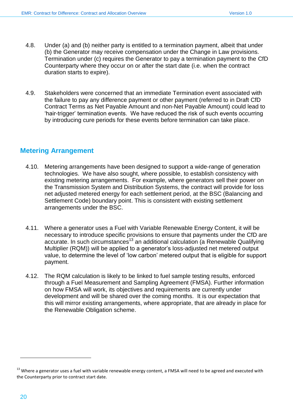- 4.8. Under (a) and (b) neither party is entitled to a termination payment, albeit that under (b) the Generator may receive compensation under the Change in Law provisions. Termination under (c) requires the Generator to pay a termination payment to the CfD Counterparty where they occur on or after the start date (i.e. when the contract duration starts to expire).
- 4.9. Stakeholders were concerned that an immediate Termination event associated with the failure to pay any difference payment or other payment (referred to in Draft CfD Contract Terms as Net Payable Amount and non-Net Payable Amount) could lead to 'hair-trigger' termination events. We have reduced the risk of such events occurring by introducing cure periods for these events before termination can take place.

# <span id="page-19-0"></span>**Metering Arrangement**

- 4.10. Metering arrangements have been designed to support a wide-range of generation technologies. We have also sought, where possible, to establish consistency with existing metering arrangements. For example, where generators sell their power on the Transmission System and Distribution Systems, the contract will provide for loss net adjusted metered energy for each settlement period, at the BSC (Balancing and Settlement Code) boundary point. This is consistent with existing settlement arrangements under the BSC.
- 4.11. Where a generator uses a Fuel with Variable Renewable Energy Content, it will be necessary to introduce specific provisions to ensure that payments under the CfD are  $accurate$ . In such circumstances<sup>13</sup> an additional calculation (a Renewable Qualifying Multiplier (RQM)) will be applied to a generator's loss-adjusted net metered output value, to determine the level of 'low carbon' metered output that is eligible for support payment.
- 4.12. The RQM calculation is likely to be linked to fuel sample testing results, enforced through a Fuel Measurement and Sampling Agreement (FMSA). Further information on how FMSA will work, its objectives and requirements are currently under development and will be shared over the coming months. It is our expectation that this will mirror existing arrangements, where appropriate, that are already in place for the Renewable Obligation scheme.

<sup>&</sup>lt;sup>13</sup> Where a generator uses a fuel with variable renewable energy content, a FMSA will need to be agreed and executed with the Counterparty prior to contract start date.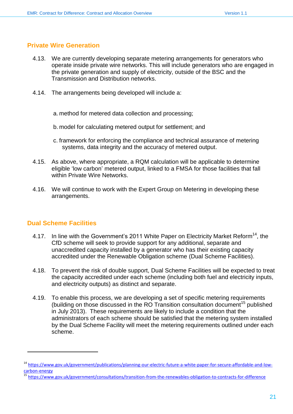#### <span id="page-20-0"></span>**Private Wire Generation**

- 4.13. We are currently developing separate metering arrangements for generators who operate inside private wire networks. This will include generators who are engaged in the private generation and supply of electricity, outside of the BSC and the Transmission and Distribution networks.
- 4.14. The arrangements being developed will include a:
	- a. method for metered data collection and processing;
	- b. model for calculating metered output for settlement; and
	- c. framework for enforcing the compliance and technical assurance of metering systems, data integrity and the accuracy of metered output.
- 4.15. As above, where appropriate, a RQM calculation will be applicable to determine eligible 'low carbon' metered output, linked to a FMSA for those facilities that fall within Private Wire Networks.
- 4.16. We will continue to work with the Expert Group on Metering in developing these arrangements.

## <span id="page-20-1"></span>**Dual Scheme Facilities**

- 4.17. In line with the Government's 2011 White Paper on Electricity Market Reform<sup>14</sup>, the CfD scheme will seek to provide support for any additional, separate and unaccredited capacity installed by a generator who has their existing capacity accredited under the Renewable Obligation scheme (Dual Scheme Facilities).
- 4.18. To prevent the risk of double support, Dual Scheme Facilities will be expected to treat the capacity accredited under each scheme (including both fuel and electricity inputs, and electricity outputs) as distinct and separate.
- 4.19. To enable this process, we are developing a set of specific metering requirements (building on those discussed in the RO Transition consultation document<sup>15</sup> published in July 2013). These requirements are likely to include a condition that the administrators of each scheme should be satisfied that the metering system installed by the Dual Scheme Facility will meet the metering requirements outlined under each scheme.

<sup>&</sup>lt;sup>14</sup> [https://www.gov.uk/government/publications/planning-our-electric-future-a-white-paper-for-secure-affordable-and-low](https://www.gov.uk/government/publications/planning-our-electric-future-a-white-paper-for-secure-affordable-and-low-carbon-energy)[carbon-energy](https://www.gov.uk/government/publications/planning-our-electric-future-a-white-paper-for-secure-affordable-and-low-carbon-energy)

<sup>15</sup> <https://www.gov.uk/government/consultations/transition-from-the-renewables-obligation-to-contracts-for-difference>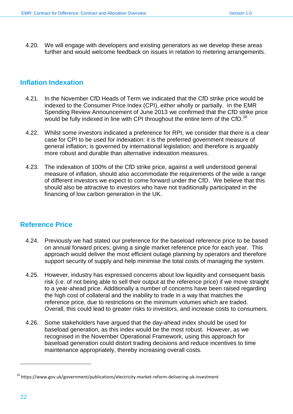4.20. We will engage with developers and existing generators as we develop these areas further and would welcome feedback on issues in relation to metering arrangements.

# <span id="page-21-0"></span>**Inflation Indexation**

- 4.21. In the November CfD Heads of Term we indicated that the CfD strike price would be indexed to the Consumer Price Index (CPI), either wholly or partially. In the EMR Spending Review Announcement of June 2013 we confirmed that the CfD strike price would be fully indexed in line with CPI throughout the entire term of the CfD.<sup>16</sup>
- 4.22. Whilst some investors indicated a preference for RPI, we consider that there is a clear case for CPI to be used for indexation: it is the preferred government measure of general inflation; is governed by international legislation; and therefore is arguably more robust and durable than alternative indexation measures.
- 4.23. The indexation of 100% of the CfD strike price, against a well understood general measure of inflation, should also accommodate the requirements of the wide a range of different investors we expect to come forward under the CfD. We believe that this should also be attractive to investors who have not traditionally participated in the financing of low carbon generation in the UK.

## <span id="page-21-1"></span>**Reference Price**

- 4.24. Previously we had stated our preference for the baseload reference price to be based on annual forward prices; giving a single market reference price for each year. This approach would deliver the most efficient outage planning by operators and therefore support security of supply and help minimise the total costs of managing the system.
- 4.25. However, industry has expressed concerns about low liquidity and consequent basis risk (i.e. of not being able to sell their output at the reference price) if we move straight to a year-ahead price. Additionally a number of concerns have been raised regarding the high cost of collateral and the inability to trade in a way that matches the reference price, due to restrictions on the minimum volumes which are traded. Overall, this could lead to greater risks to investors, and increase costs to consumers.
- 4.26. Some stakeholders have argued that the day-ahead index should be used for baseload generation, as this index would be the most robust. However, as we recognised in the November Operational Framework, using this approach for baseload generation could distort trading decisions and reduce incentives to time maintenance appropriately, thereby increasing overall costs.

<sup>16</sup> https://www.gov.uk/government/publications/electricity-market-reform-delivering-uk-investment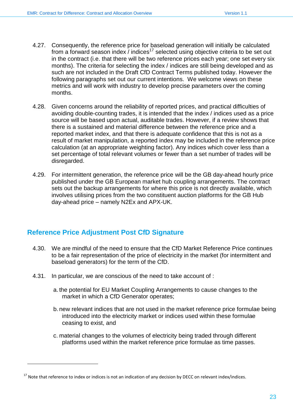- 4.27. Consequently, the reference price for baseload generation will initially be calculated from a forward season index  $\ell$  indices<sup>17</sup> selected using objective criteria to be set out in the contract (i.e. that there will be two reference prices each year; one set every six months). The criteria for selecting the index / indices are still being developed and as such are not included in the Draft CfD Contract Terms published today. However the following paragraphs set out our current intentions. We welcome views on these metrics and will work with industry to develop precise parameters over the coming months.
- 4.28. Given concerns around the reliability of reported prices, and practical difficulties of avoiding double-counting trades, it is intended that the index / indices used as a price source will be based upon actual, auditable trades. However, if a review shows that there is a sustained and material difference between the reference price and a reported market index, and that there is adequate confidence that this is not as a result of market manipulation, a reported index may be included in the reference price calculation (at an appropriate weighting factor). Any indices which cover less than a set percentage of total relevant volumes or fewer than a set number of trades will be disregarded.
- 4.29. For intermittent generation, the reference price will be the GB day-ahead hourly price published under the GB European market hub coupling arrangements. The contract sets out the backup arrangements for where this price is not directly available, which involves utilising prices from the two constituent auction platforms for the GB Hub day-ahead price – namely N2Ex and APX-UK.

# <span id="page-22-0"></span>**Reference Price Adjustment Post CfD Signature**

- 4.30. We are mindful of the need to ensure that the CfD Market Reference Price continues to be a fair representation of the price of electricity in the market (for intermittent and baseload generators) for the term of the CfD.
- 4.31. In particular, we are conscious of the need to take account of :
	- a. the potential for EU Market Coupling Arrangements to cause changes to the market in which a CfD Generator operates;
	- b. new relevant indices that are not used in the market reference price formulae being introduced into the electricity market or indices used within these formulae ceasing to exist, and
	- c. material changes to the volumes of electricity being traded through different platforms used within the market reference price formulae as time passes.

 $17$  Note that reference to index or indices is not an indication of any decision by DECC on relevant index/indices.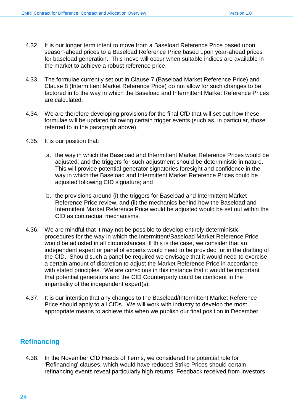- 4.32. It is our longer term intent to move from a Baseload Reference Price based upon season-ahead prices to a Baseload Reference Price based upon year-ahead prices for baseload generation. This move will occur when suitable indices are available in the market to achieve a robust reference price.
- 4.33. The formulae currently set out in Clause 7 (Baseload Market Reference Price) and Clause 8 (Intermittent Market Reference Price) do not allow for such changes to be factored in to the way in which the Baseload and Intermittent Market Reference Prices are calculated.
- 4.34. We are therefore developing provisions for the final CfD that will set out how these formulae will be updated following certain trigger events (such as, in particular, those referred to in the paragraph above).
- 4.35. It is our position that:
	- a. the way in which the Baseload and Intermittent Market Reference Prices would be adjusted, and the triggers for such adjustment should be deterministic in nature. This will provide potential generator signatories foresight and confidence in the way in which the Baseload and Intermittent Market Reference Prices could be adjusted following CfD signature; and
	- b. the provisions around (i) the triggers for Baseload and Intermittent Market Reference Price review, and (ii) the mechanics behind how the Baseload and Intermittent Market Reference Price would be adjusted would be set out within the CfD as contractual mechanisms.
- 4.36. We are mindful that it may not be possible to develop entirely deterministic procedures for the way in which the Intermittent/Baseload Market Reference Price would be adjusted in all circumstances. If this is the case, we consider that an independent expert or panel of experts would need to be provided for in the drafting of the CfD. Should such a panel be required we envisage that it would need to exercise a certain amount of discretion to adjust the Market Reference Price in accordance with stated principles. We are conscious in this instance that it would be important that potential generators and the CfD Counterparty could be confident in the impartiality of the independent expert(s).
- 4.37. It is our intention that any changes to the Baseload/Intermittent Market Reference Price should apply to all CfDs. We will work with industry to develop the most appropriate means to achieve this when we publish our final position in December.

# <span id="page-23-0"></span>**Refinancing**

4.38. In the November CfD Heads of Terms, we considered the potential role for 'Refinancing' clauses, which would have reduced Strike Prices should certain refinancing events reveal particularly high returns. Feedback received from investors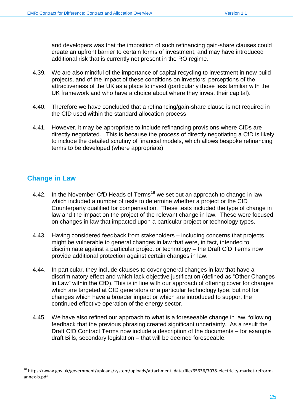and developers was that the imposition of such refinancing gain-share clauses could create an upfront barrier to certain forms of investment, and may have introduced additional risk that is currently not present in the RO regime.

- 4.39. We are also mindful of the importance of capital recycling to investment in new build projects, and of the impact of these conditions on investors' perceptions of the attractiveness of the UK as a place to invest (particularly those less familiar with the UK framework and who have a choice about where they invest their capital).
- 4.40. Therefore we have concluded that a refinancing/gain-share clause is not required in the CfD used within the standard allocation process.
- 4.41. However, it may be appropriate to include refinancing provisions where CfDs are directly negotiated. This is because the process of directly negotiating a CfD is likely to include the detailed scrutiny of financial models, which allows bespoke refinancing terms to be developed (where appropriate).

# <span id="page-24-0"></span>**Change in Law**

- 4.42. In the November CfD Heads of Terms<sup>18</sup> we set out an approach to change in law which included a number of tests to determine whether a project or the CfD Counterparty qualified for compensation. These tests included the type of change in law and the impact on the project of the relevant change in law. These were focused on changes in law that impacted upon a particular project or technology types.
- 4.43. Having considered feedback from stakeholders including concerns that projects might be vulnerable to general changes in law that were, in fact, intended to discriminate against a particular project or technology – the Draft CfD Terms now provide additional protection against certain changes in law.
- 4.44. In particular, they include clauses to cover general changes in law that have a discriminatory effect and which lack objective justification (defined as "Other Changes in Law" within the CfD). This is in line with our approach of offering cover for changes which are targeted at CfD generators or a particular technology type, but not for changes which have a broader impact or which are introduced to support the continued effective operation of the energy sector.
- 4.45. We have also refined our approach to what is a foreseeable change in law, following feedback that the previous phrasing created significant uncertainty. As a result the Draft CfD Contract Terms now include a description of the documents – for example draft Bills, secondary legislation – that will be deemed foreseeable.

<sup>18</sup> https://www.gov.uk/government/uploads/system/uploads/attachment\_data/file/65636/7078-electricity-market-refrormannex-b.pdf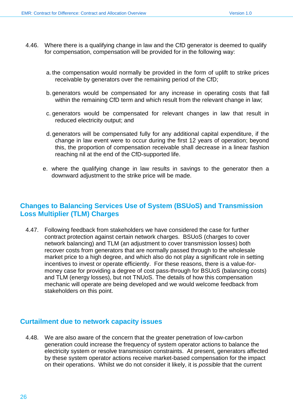- 4.46. Where there is a qualifying change in law and the CfD generator is deemed to qualify for compensation, compensation will be provided for in the following way:
	- a. the compensation would normally be provided in the form of uplift to strike prices receivable by generators over the remaining period of the CfD;
	- b. generators would be compensated for any increase in operating costs that fall within the remaining CfD term and which result from the relevant change in law:
	- c. generators would be compensated for relevant changes in law that result in reduced electricity output; and
	- d. generators will be compensated fully for any additional capital expenditure, if the change in law event were to occur during the first 12 years of operation; beyond this, the proportion of compensation receivable shall decrease in a linear fashion reaching nil at the end of the CfD-supported life.
	- e. where the qualifying change in law results in savings to the generator then a downward adjustment to the strike price will be made.

# <span id="page-25-0"></span>**Changes to Balancing Services Use of System (BSUoS) and Transmission Loss Multiplier (TLM) Charges**

4.47. Following feedback from stakeholders we have considered the case for further contract protection against certain network charges. BSUoS (charges to cover network balancing) and TLM (an adjustment to cover transmission losses) both recover costs from generators that are normally passed through to the wholesale market price to a high degree, and which also do not play a significant role in setting incentives to invest or operate efficiently. For these reasons, there is a value-formoney case for providing a degree of cost pass-through for BSUoS (balancing costs) and TLM (energy losses), but not TNUoS. The details of how this compensation mechanic will operate are being developed and we would welcome feedback from stakeholders on this point.

## <span id="page-25-1"></span>**Curtailment due to network capacity issues**

4.48. We are also aware of the concern that the greater penetration of low-carbon generation could increase the frequency of system operator actions to balance the electricity system or resolve transmission constraints. At present, generators affected by these system operator actions receive market-based compensation for the impact on their operations. Whilst we do not consider it likely, it is *possible* that the current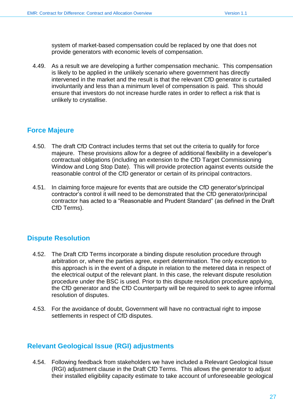system of market-based compensation could be replaced by one that does not provide generators with economic levels of compensation.

4.49. As a result we are developing a further compensation mechanic. This compensation is likely to be applied in the unlikely scenario where government has directly intervened in the market and the result is that the relevant CfD generator is curtailed involuntarily and less than a minimum level of compensation is paid. This should ensure that investors do not increase hurdle rates in order to reflect a risk that is unlikely to crystallise.

# <span id="page-26-0"></span>**Force Majeure**

- 4.50. The draft CfD Contract includes terms that set out the criteria to qualify for force majeure. These provisions allow for a degree of additional flexibility in a developer's contractual obligations (including an extension to the CfD Target Commissioning Window and Long Stop Date). This will provide protection against events outside the reasonable control of the CfD generator or certain of its principal contractors.
- 4.51. In claiming force majeure for events that are outside the CfD generator's/principal contractor's control it will need to be demonstrated that the CfD generator/principal contractor has acted to a "Reasonable and Prudent Standard" (as defined in the Draft CfD Terms).

# <span id="page-26-1"></span>**Dispute Resolution**

- 4.52. The Draft CfD Terms incorporate a binding dispute resolution procedure through arbitration or, where the parties agree, expert determination. The only exception to this approach is in the event of a dispute in relation to the metered data in respect of the electrical output of the relevant plant. In this case, the relevant dispute resolution procedure under the BSC is used. Prior to this dispute resolution procedure applying, the CfD generator and the CfD Counterparty will be required to seek to agree informal resolution of disputes.
- 4.53. For the avoidance of doubt, Government will have no contractual right to impose settlements in respect of CfD disputes.

## <span id="page-26-2"></span>**Relevant Geological Issue (RGI) adjustments**

4.54. Following feedback from stakeholders we have included a Relevant Geological Issue (RGI) adjustment clause in the Draft CfD Terms. This allows the generator to adjust their installed eligibility capacity estimate to take account of unforeseeable geological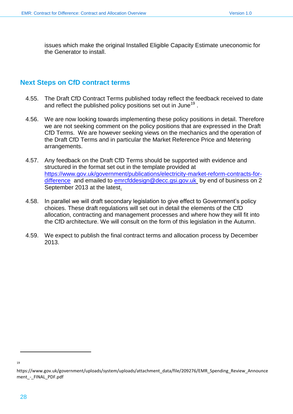issues which make the original Installed Eligible Capacity Estimate uneconomic for the Generator to install.

## <span id="page-27-0"></span>**Next Steps on CfD contract terms**

- 4.55. The Draft CfD Contract Terms published today reflect the feedback received to date and reflect the published policy positions set out in June<sup>19</sup>.
- 4.56. We are now looking towards implementing these policy positions in detail. Therefore we are not seeking comment on the policy positions that are expressed in the Draft CfD Terms. We are however seeking views on the mechanics and the operation of the Draft CfD Terms and in particular the Market Reference Price and Metering arrangements.
- 4.57. Any feedback on the Draft CfD Terms should be supported with evidence and structured in the format set out in the template provided at [https://www.gov.uk/government/publications/electricity-market-reform-contracts-for](https://www.gov.uk/government/publications/electricity-market-reform-contracts-for-difference)[difference](https://www.gov.uk/government/publications/electricity-market-reform-contracts-for-difference) and emailed to [emrcfddesign@decc.gsi.gov.uk](mailto:emrcfddesign@decc.gsi.gov.uk) by end of business on 2 September 2013 at the latest.
- 4.58. In parallel we will draft secondary legislation to give effect to Government's policy choices. These draft regulations will set out in detail the elements of the CfD allocation, contracting and management processes and where how they will fit into the CfD architecture. We will consult on the form of this legislation in the Autumn.
- 4.59. We expect to publish the final contract terms and allocation process by December 2013.

<sup>19</sup>

https://www.gov.uk/government/uploads/system/uploads/attachment\_data/file/209276/EMR\_Spending\_Review\_Announce ment - FINAL PDF.pdf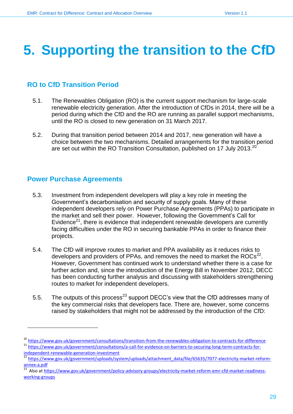# <span id="page-28-0"></span>**5. Supporting the transition to the CfD**

# <span id="page-28-1"></span>**RO to CfD Transition Period**

- 5.1. The Renewables Obligation (RO) is the current support mechanism for large-scale renewable electricity generation. After the introduction of CfDs in 2014, there will be a period during which the CfD and the RO are running as parallel support mechanisms, until the RO is closed to new generation on 31 March 2017.
- 5.2. During that transition period between 2014 and 2017, new generation will have a choice between the two mechanisms. Detailed arrangements for the transition period are set out within the RO Transition Consultation, published on 17 July 2013.<sup>20</sup>

# <span id="page-28-2"></span>**Power Purchase Agreements**

- 5.3. Investment from independent developers will play a key role in meeting the Government's decarbonisation and security of supply goals. Many of these independent developers rely on Power Purchase Agreements (PPAs) to participate in the market and sell their power. However, following the Government's Call for Evidence<sup>21</sup>, there is evidence that independent renewable developers are currently facing difficulties under the RO in securing bankable PPAs in order to finance their projects.
- 5.4. The CfD will improve routes to market and PPA availability as it reduces risks to developers and providers of PPAs, and removes the need to market the ROCs $^{22}$ . However, Government has continued work to understand whether there is a case for further action and, since the introduction of the Energy Bill in November 2012, DECC has been conducting further analysis and discussing with stakeholders strengthening routes to market for independent developers.
- 5.5. The outputs of this process<sup>23</sup> support DECC's view that the CfD addresses many of the key commercial risks that developers face. There are, however, some concerns raised by stakeholders that might not be addressed by the introduction of the CfD:

<sup>20</sup> <https://www.gov.uk/government/consultations/transition-from-the-renewables-obligation-to-contracts-for-difference> <sup>21</sup> [https://www.gov.uk/government/consultations/a-call-for-evidence-on-barriers-to-securing-long-term-contracts-for-](https://www.gov.uk/government/consultations/a-call-for-evidence-on-barriers-to-securing-long-term-contracts-for-independent-renewable-generation-investment)

[independent-renewable-generation-investment](https://www.gov.uk/government/consultations/a-call-for-evidence-on-barriers-to-securing-long-term-contracts-for-independent-renewable-generation-investment)

[https://www.gov.uk/government/uploads/system/uploads/attachment\\_data/file/65635/7077-electricity-market-reform](https://www.gov.uk/government/uploads/system/uploads/attachment_data/file/65635/7077-electricity-market-reform-annex-a.pdf)[annex-a.pdf](https://www.gov.uk/government/uploads/system/uploads/attachment_data/file/65635/7077-electricity-market-reform-annex-a.pdf)<br><sup>23</sup> Also at bt

Also at [https://www.gov.uk/government/policy-advisory-groups/electricity-market-reform-emr-cfd-market-readiness](https://www.gov.uk/government/policy-advisory-groups/electricity-market-reform-emr-cfd-market-readiness-working-groups)[working-groups](https://www.gov.uk/government/policy-advisory-groups/electricity-market-reform-emr-cfd-market-readiness-working-groups)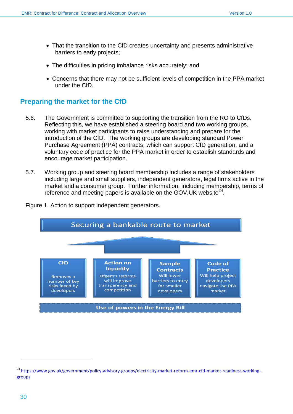- That the transition to the CfD creates uncertainty and presents administrative barriers to early projects;
- The difficulties in pricing imbalance risks accurately; and
- Concerns that there may not be sufficient levels of competition in the PPA market under the CfD.

## <span id="page-29-0"></span>**Preparing the market for the CfD**

- 5.6. The Government is committed to supporting the transition from the RO to CfDs. Reflecting this, we have established a steering board and two working groups, working with market participants to raise understanding and prepare for the introduction of the CfD. The working groups are developing standard Power Purchase Agreement (PPA) contracts, which can support CfD generation, and a voluntary code of practice for the PPA market in order to establish standards and encourage market participation.
- 5.7. Working group and steering board membership includes a range of stakeholders including large and small suppliers, independent generators, legal firms active in the market and a consumer group. Further information, including membership, terms of reference and meeting papers is available on the GOV. UK website $^{24}$ .



Figure 1. Action to support independent generators.

<sup>&</sup>lt;sup>24</sup> [https://www.gov.uk/government/policy-advisory-groups/electricity-market-reform-emr-cfd-market-readiness-working](https://www.gov.uk/government/policy-advisory-groups/electricity-market-reform-emr-cfd-market-readiness-working-groups)[groups](https://www.gov.uk/government/policy-advisory-groups/electricity-market-reform-emr-cfd-market-readiness-working-groups)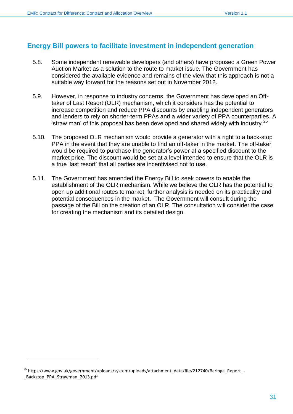# <span id="page-30-0"></span>**Energy Bill powers to facilitate investment in independent generation**

- 5.8. Some independent renewable developers (and others) have proposed a Green Power Auction Market as a solution to the route to market issue. The Government has considered the available evidence and remains of the view that this approach is not a suitable way forward for the reasons set out in November 2012.
- 5.9. However, in response to industry concerns, the Government has developed an Offtaker of Last Resort (OLR) mechanism, which it considers has the potential to increase competition and reduce PPA discounts by enabling independent generators and lenders to rely on shorter-term PPAs and a wider variety of PPA counterparties. A 'straw man' of this proposal has been developed and shared widely with industry. $^{25}$
- 5.10. The proposed OLR mechanism would provide a generator with a right to a back-stop PPA in the event that they are unable to find an off-taker in the market. The off-taker would be required to purchase the generator's power at a specified discount to the market price. The discount would be set at a level intended to ensure that the OLR is a true 'last resort' that all parties are incentivised not to use.
- 5.11. The Government has amended the Energy Bill to seek powers to enable the establishment of the OLR mechanism. While we believe the OLR has the potential to open up additional routes to market, further analysis is needed on its practicality and potential consequences in the market. The Government will consult during the passage of the Bill on the creation of an OLR. The consultation will consider the case for creating the mechanism and its detailed design.

<sup>&</sup>lt;sup>25</sup> https://www.gov.uk/government/uploads/system/uploads/attachment\_data/file/212740/Baringa\_Report\_-\_Backstop\_PPA\_Strawman\_2013.pdf